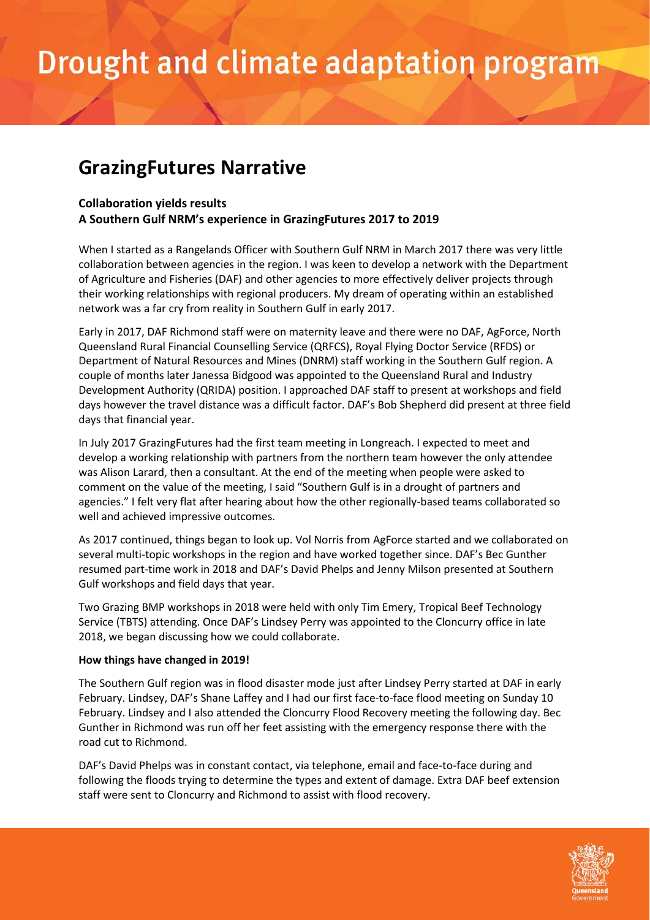## Drought and climate adaptation program

### **GrazingFutures Narrative**

#### **Collaboration yields results**

#### **A Southern Gulf NRM's experience in GrazingFutures 2017 to 2019**

When I started as a Rangelands Officer with Southern Gulf NRM in March 2017 there was very little collaboration between agencies in the region. I was keen to develop a network with the Department of Agriculture and Fisheries (DAF) and other agencies to more effectively deliver projects through their working relationships with regional producers. My dream of operating within an established network was a far cry from reality in Southern Gulf in early 2017.

Early in 2017, DAF Richmond staff were on maternity leave and there were no DAF, AgForce, North Queensland Rural Financial Counselling Service (QRFCS), Royal Flying Doctor Service (RFDS) or Department of Natural Resources and Mines (DNRM) staff working in the Southern Gulf region. A couple of months later Janessa Bidgood was appointed to the Queensland Rural and Industry Development Authority (QRIDA) position. I approached DAF staff to present at workshops and field days however the travel distance was a difficult factor. DAF's Bob Shepherd did present at three field days that financial year.

In July 2017 GrazingFutures had the first team meeting in Longreach. I expected to meet and develop a working relationship with partners from the northern team however the only attendee was Alison Larard, then a consultant. At the end of the meeting when people were asked to comment on the value of the meeting, I said "Southern Gulf is in a drought of partners and agencies." I felt very flat after hearing about how the other regionally-based teams collaborated so well and achieved impressive outcomes.

As 2017 continued, things began to look up. Vol Norris from AgForce started and we collaborated on several multi-topic workshops in the region and have worked together since. DAF's Bec Gunther resumed part-time work in 2018 and DAF's David Phelps and Jenny Milson presented at Southern Gulf workshops and field days that year.

Two Grazing BMP workshops in 2018 were held with only Tim Emery, Tropical Beef Technology Service (TBTS) attending. Once DAF's Lindsey Perry was appointed to the Cloncurry office in late 2018, we began discussing how we could collaborate.

#### **How things have changed in 2019!**

The Southern Gulf region was in flood disaster mode just after Lindsey Perry started at DAF in early February. Lindsey, DAF's Shane Laffey and I had our first face-to-face flood meeting on Sunday 10 February. Lindsey and I also attended the Cloncurry Flood Recovery meeting the following day. Bec Gunther in Richmond was run off her feet assisting with the emergency response there with the road cut to Richmond.

DAF's David Phelps was in constant contact, via telephone, email and face-to-face during and following the floods trying to determine the types and extent of damage. Extra DAF beef extension staff were sent to Cloncurry and Richmond to assist with flood recovery.

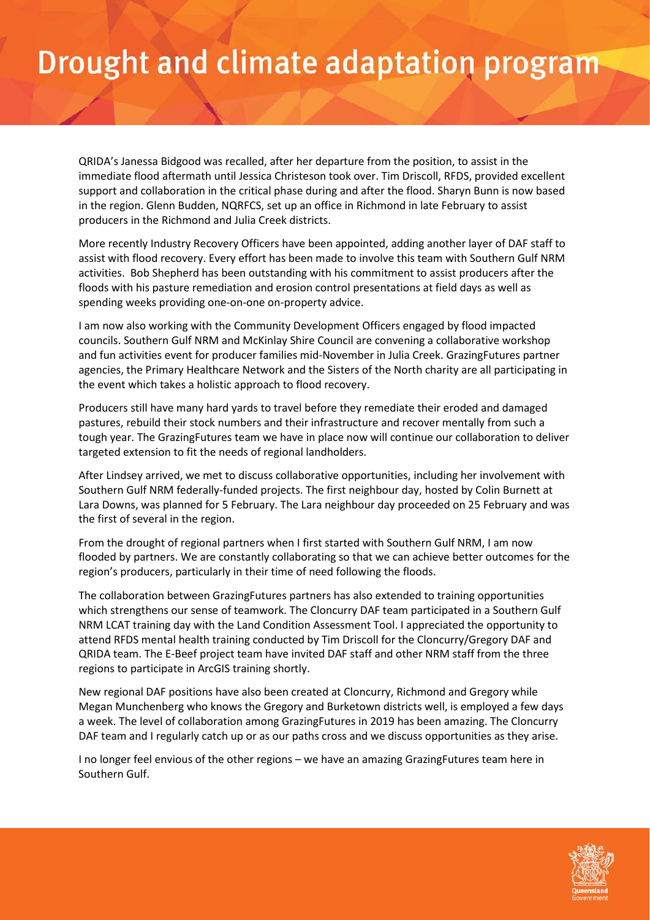### Drought and climate adaptation program

QRIDA's Janessa Bidgood was recalled, after her departure from the position, to assist in the immediate flood aftermath until Jessica Christeson took over. Tim Driscoll, RFDS, provided excellent support and collaboration in the critical phase during and after the flood. Sharyn Bunn is now based in the region. Glenn Budden, NQRFCS, set up an office in Richmond in late February to assist producers in the Richmond and Julia Creek districts.

More recently Industry Recovery Officers have been appointed, adding another layer of DAF staff to assist with flood recovery. Every effort has been made to involve this team with Southern Gulf NRM activities. Bob Shepherd has been outstanding with his commitment to assist producers after the floods with his pasture remediation and erosion control presentations at field days as well as spending weeks providing one-on-one on-property advice.

I am now also working with the Community Development Officers engaged by flood impacted councils. Southern Gulf NRM and McKinlay Shire Council are convening a collaborative workshop and fun activities event for producer families mid-November in Julia Creek. GrazingFutures partner agencies, the Primary Healthcare Network and the Sisters of the North charity are all participating in the event which takes a holistic approach to flood recovery.

Producers still have many hard yards to travel before they remediate their eroded and damaged pastures, rebuild their stock numbers and their infrastructure and recover mentally from such a tough year. The GrazingFutures team we have in place now will continue our collaboration to deliver targeted extension to fit the needs of regional landholders.

After Lindsey arrived, we met to discuss collaborative opportunities, including her involvement with Southern Gulf NRM federally-funded projects. The first neighbour day, hosted by Colin Burnett at Lara Downs, was planned for 5 February. The Lara neighbour day proceeded on 25 February and was the first of several in the region.

From the drought of regional partners when I first started with Southern Gulf NRM, I am now flooded by partners. We are constantly collaborating so that we can achieve better outcomes for the region's producers, particularly in their time of need following the floods.

The collaboration between GrazingFutures partners has also extended to training opportunities which strengthens our sense of teamwork. The Cloncurry DAF team participated in a Southern Gulf NRM LCAT training day with the Land Condition Assessment Tool. I appreciated the opportunity to attend RFDS mental health training conducted by Tim Driscoll for the Cloncurry/Gregory DAF and QRIDA team. The E-Beef project team have invited DAF staff and other NRM staff from the three regions to participate in ArcGIS training shortly.

New regional DAF positions have also been created at Cloncurry, Richmond and Gregory while Megan Munchenberg who knows the Gregory and Burketown districts well, is employed a few days a week. The level of collaboration among GrazingFutures in 2019 has been amazing. The Cloncurry DAF team and I regularly catch up or as our paths cross and we discuss opportunities as they arise.

I no longer feel envious of the other regions – we have an amazing GrazingFutures team here in Southern Gulf.